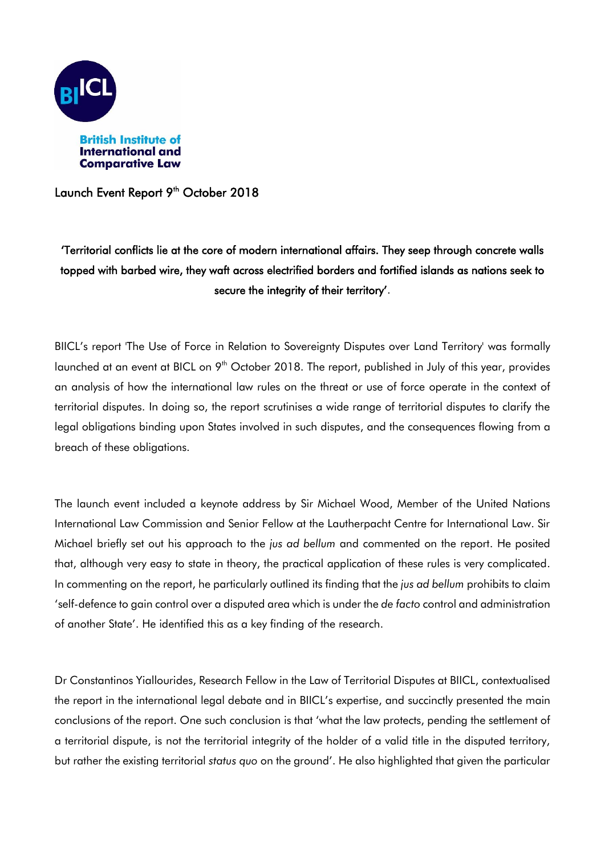

Launch Event Report 9<sup>th</sup> October 2018

## 'Territorial conflicts lie at the core of modern international affairs. They seep through concrete walls topped with barbed wire, they waft across electrified borders and fortified islands as nations seek to secure the integrity of their territory'.

BIICL's report 'The Use of Force in Relation to Sovereignty Disputes over Land Territory' was formally launched at an event at BICL on 9<sup>th</sup> October 2018. The report, published in July of this year, provides an analysis of how the international law rules on the threat or use of force operate in the context of territorial disputes. In doing so, the report scrutinises a wide range of territorial disputes to clarify the legal obligations binding upon States involved in such disputes, and the consequences flowing from a breach of these obligations.

The launch event included a keynote address by Sir Michael Wood, Member of the United Nations International Law Commission and Senior Fellow at the Lautherpacht Centre for International Law. Sir Michael briefly set out his approach to the *jus ad bellum* and commented on the report. He posited that, although very easy to state in theory, the practical application of these rules is very complicated. In commenting on the report, he particularly outlined its finding that the *jus ad bellum* prohibits to claim 'self-defence to gain control over a disputed area which is under the *de facto* control and administration of another State'. He identified this as a key finding of the research.

Dr Constantinos Yiallourides, Research Fellow in the Law of Territorial Disputes at BIICL, contextualised the report in the international legal debate and in BIICL's expertise, and succinctly presented the main conclusions of the report. One such conclusion is that 'what the law protects, pending the settlement of a territorial dispute, is not the territorial integrity of the holder of a valid title in the disputed territory, but rather the existing territorial *status quo* on the ground'. He also highlighted that given the particular